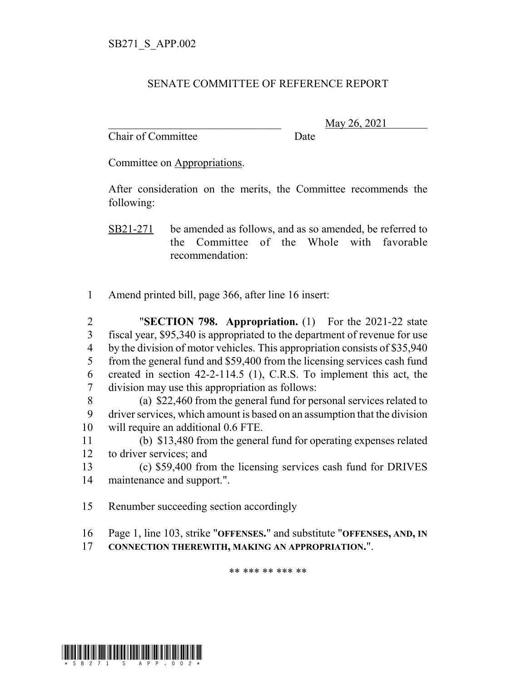## SENATE COMMITTEE OF REFERENCE REPORT

Chair of Committee Date

\_\_\_\_\_\_\_\_\_\_\_\_\_\_\_\_\_\_\_\_\_\_\_\_\_\_\_\_\_\_\_ May 26, 2021

Committee on Appropriations.

After consideration on the merits, the Committee recommends the following:

SB21-271 be amended as follows, and as so amended, be referred to the Committee of the Whole with favorable recommendation:

1 Amend printed bill, page 366, after line 16 insert:

 "**SECTION 798. Appropriation.** (1) For the 2021-22 state fiscal year, \$95,340 is appropriated to the department of revenue for use 4 by the division of motor vehicles. This appropriation consists of \$35,940 from the general fund and \$59,400 from the licensing services cash fund created in section 42-2-114.5 (1), C.R.S. To implement this act, the division may use this appropriation as follows:

8 (a) \$22,460 from the general fund for personal services related to 9 driver services, which amount is based on an assumption that the division 10 will require an additional 0.6 FTE.

11 (b) \$13,480 from the general fund for operating expenses related 12 to driver services; and

13 (c) \$59,400 from the licensing services cash fund for DRIVES 14 maintenance and support.".

15 Renumber succeeding section accordingly

- 16 Page 1, line 103, strike "**OFFENSES.**" and substitute "**OFFENSES, AND, IN**
- 17 **CONNECTION THEREWITH, MAKING AN APPROPRIATION.**".

\*\* \*\*\* \*\* \*\*\* \*\*